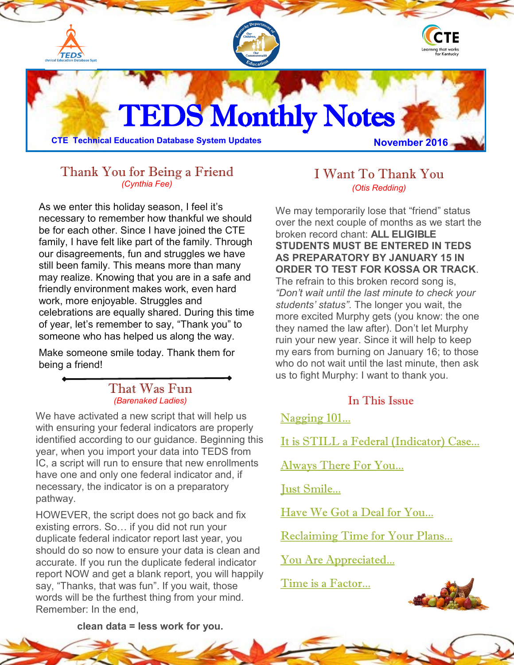<span id="page-0-0"></span>

## Thank You for Being a Friend *(Cynthia Fee)*

As we enter this holiday season, I feel it's necessary to remember how thankful we should be for each other. Since I have joined the CTE family, I have felt like part of the family. Through our disagreements, fun and struggles we have still been family. This means more than many may realize. Knowing that you are in a safe and friendly environment makes work, even hard work, more enjoyable. Struggles and celebrations are equally shared. During this time of year, let's remember to say, "Thank you" to someone who has helped us along the way.

Make someone smile today. Thank them for being a friend!

#### That Was Fun *(Barenaked Ladies)*

We have activated a new script that will help us with ensuring your federal indicators are properly identified according to our guidance. Beginning this year, when you import your data into TEDS from IC, a script will run to ensure that new enrollments have one and only one federal indicator and, if necessary, the indicator is on a preparatory pathway.

HOWEVER, the script does not go back and fix existing errors. So… if you did not run your duplicate federal indicator report last year, you should do so now to ensure your data is clean and accurate. If you run the duplicate federal indicator report NOW and get a blank report, you will happily say, "Thanks, that was fun". If you wait, those words will be the furthest thing from your mind. Remember: In the end,

## I Want To Thank You *(Otis Redding)*

We may temporarily lose that "friend" status over the next couple of months as we start the broken record chant: **ALL ELIGIBLE STUDENTS MUST BE ENTERED IN TEDS AS PREPARATORY BY JANUARY 15 IN ORDER TO TEST FOR KOSSA OR TRACK**. The refrain to this broken record song is, *"Don't wait until the last minute to check your students' status"*. The longer you wait, the more excited Murphy gets (you know: the one they named the law after). Don't let Murphy ruin your new year. Since it will help to keep my ears from burning on January 16; to those who do not wait until the last minute, then ask us to fight Murphy: I want to thank you.

### In This Issue

[Nagging 101...](#page-0-0)

[It is STILL a Federal \(Indicator\) Case...](#page-0-0)

[Always There For You...](#page-1-0)

[Just Smile...](#page-1-0)

[Have We Got a Deal for You...](#page-1-0)

[Reclaiming Time for Your Plans...](#page-2-0)

[You Are Appreciated...](#page-2-0)

[Time is a Factor...](#page-2-0)



**clean data = less work for you.**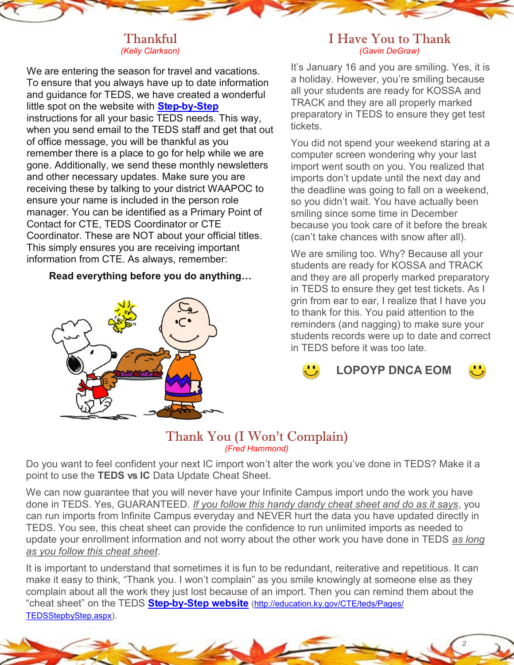#### Thankful *(Kelly Clarkson)*

<span id="page-1-0"></span>We are entering the season for travel and vacations. To ensure that you always have up to date information and guidance for TEDS, we have created a wonderful little spot on the website with **Step-by-[Step](http://education.ky.gov/CTE/teds/Pages/TEDSStepbyStep.aspx))** instructions for all your basic TEDS needs. This way, when you send email to the TEDS staff and get that out of office message, you will be thankful as you remember there is a place to go for help while we are gone. Additionally, we send these monthly newsletters and other necessary updates. Make sure you are receiving these by talking to your district WAAPOC to ensure your name is included in the person role manager. You can be identified as a Primary Point of Contact for CTE, TEDS Coordinator or CTE Coordinator. These are NOT about your official titles. This simply ensures you are receiving important information from CTE. As always, remember:

### **Read everything before you do anything…**



### I Have You to Thank *(Gavin DeGraw)*

It's January 16 and you are smiling. Yes, it is a holiday. However, you're smiling because all your students are ready for KOSSA and TRACK and they are all properly marked preparatory in TEDS to ensure they get test tickets.

You did not spend your weekend staring at a computer screen wondering why your last import went south on you. You realized that imports don't update until the next day and the deadline was going to fall on a weekend, so you didn't wait. You have actually been smiling since some time in December because you took care of it before the break (can't take chances with snow after all).

We are smiling too. Why? Because all your students are ready for KOSSA and TRACK and they are all properly marked preparatory in TEDS to ensure they get test tickets. As I grin from ear to ear, I realize that I have you to thank for this. You paid attention to the reminders (and nagging) to make sure your students records were up to date and correct in TEDS before it was too late.

**LOPOYP DNCA EOM**



*2*

# Thank You (I Won't Complain) *(Fred Hammond)*

Do you want to feel confident your next IC import won't alter the work you've done in TEDS? Make it a point to use the **TEDS vs IC** Data Update Cheat Sheet.

We can now guarantee that you will never have your Infinite Campus import undo the work you have done in TEDS. Yes, GUARANTEED. *If you follow this handy dandy cheat sheet and do as it says*, you can run imports from Infinite Campus everyday and NEVER hurt the data you have updated directly in TEDS. You see, this cheat sheet can provide the confidence to run unlimited imports as needed to update your enrollment information and not worry about the other work you have done in TEDS *as long as you follow this cheat sheet*.

It is important to understand that sometimes it is fun to be redundant, reiterative and repetitious. It can make it easy to think, "Thank you. I won't complain" as you smile knowingly at someone else as they complain about all the work they just lost because of an import. Then you can remind them about the "cheat sheet" on the TEDS **Step-by-[Step website](http://education.ky.gov/CTE/teds/Pages/TEDSStepbyStep.aspx))** ([http://education.ky.gov/CTE/teds/Pages/](http://education.ky.gov/CTE/teds/Pages/TEDSStepbyStep.aspx) [TEDSStepbyStep.aspx\)](http://education.ky.gov/CTE/teds/Pages/TEDSStepbyStep.aspx).